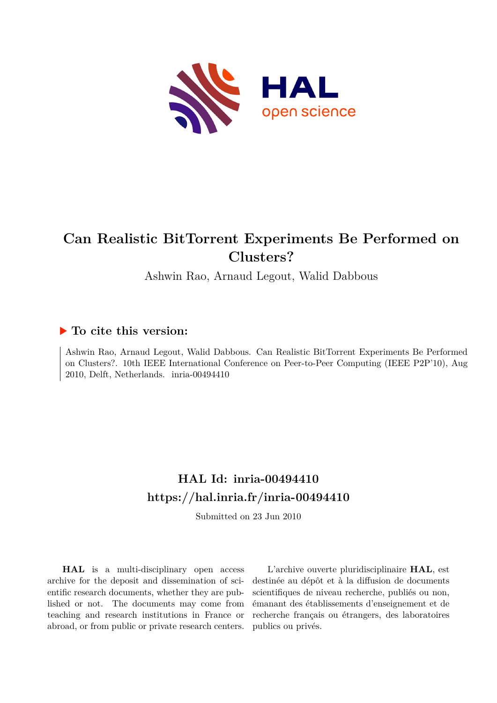

## **Can Realistic BitTorrent Experiments Be Performed on Clusters?**

Ashwin Rao, Arnaud Legout, Walid Dabbous

### **To cite this version:**

Ashwin Rao, Arnaud Legout, Walid Dabbous. Can Realistic BitTorrent Experiments Be Performed on Clusters?. 10th IEEE International Conference on Peer-to-Peer Computing (IEEE P2P'10), Aug 2010, Delft, Netherlands. inria-00494410

## **HAL Id: inria-00494410 <https://hal.inria.fr/inria-00494410>**

Submitted on 23 Jun 2010

**HAL** is a multi-disciplinary open access archive for the deposit and dissemination of scientific research documents, whether they are published or not. The documents may come from teaching and research institutions in France or abroad, or from public or private research centers.

L'archive ouverte pluridisciplinaire **HAL**, est destinée au dépôt et à la diffusion de documents scientifiques de niveau recherche, publiés ou non, émanant des établissements d'enseignement et de recherche français ou étrangers, des laboratoires publics ou privés.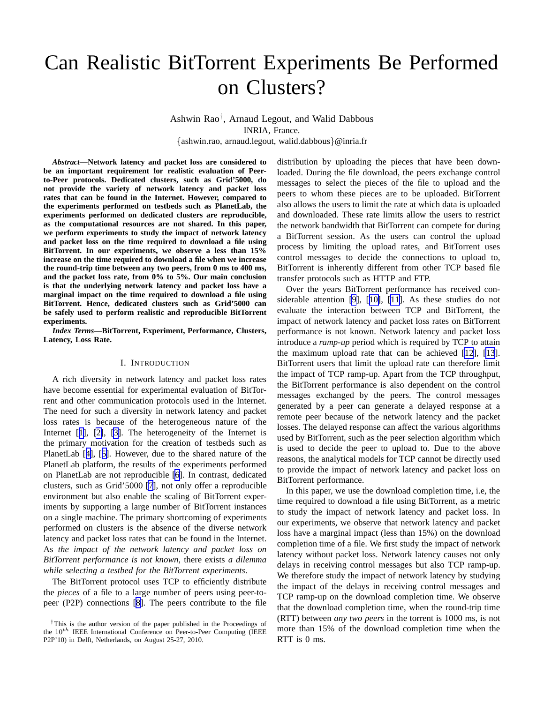# Can Realistic BitTorrent Experiments Be Performed on Clusters?

Ashwin Rao† , Arnaud Legout, and Walid Dabbous INRIA, France. {ashwin.rao, arnaud.legout, walid.dabbous}@inria.fr

*Abstract***—Network latency and packet loss are considered to be an important requirement for realistic evaluation of Peerto-Peer protocols. Dedicated clusters, such as Grid'5000, do not provide the variety of network latency and packet loss rates that can be found in the Internet. However, compared to the experiments performed on testbeds such as PlanetLab, the experiments performed on dedicated clusters are reproducible, as the computational resources are not shared. In this paper, we perform experiments to study the impact of network latency and packet loss on the time required to download a file using BitTorrent. In our experiments, we observe a less than 15% increase on the time required to download a file when we increase the round-trip time between any two peers, from 0 ms to 400 ms, and the packet loss rate, from 0% to 5%. Our main conclusion is that the underlying network latency and packet loss have a marginal impact on the time required to download a file using BitTorrent. Hence, dedicated clusters such as Grid'5000 can be safely used to perform realistic and reproducible BitTorrent experiments.**

*Index Terms***—BitTorrent, Experiment, Performance, Clusters, Latency, Loss Rate.**

#### I. INTRODUCTION

A rich diversity in network latency and packet loss rates have become essential for experimental evaluation of BitTorrent and other communication protocols used in the Internet. The need for such a diversity in network latency and packet loss rates is because of the heterogeneous nature of the Internet [[1\]](#page-10-0), [\[2\]](#page-10-0), [\[3](#page-10-0)]. The heterogeneity of the Internet is the primary motivation for the creation of testbeds such as PlanetLab [[4\]](#page-10-0), [[5\]](#page-10-0). However, due to the shared nature of the PlanetLab platform, the results of the experiments performed on PlanetLab are not reproducible [\[6](#page-10-0)]. In contrast, dedicated clusters, such as Grid'5000 [\[7](#page-10-0)], not only offer a reproducible environment but also enable the scaling of BitTorrent experiments by supporting a large number of BitTorrent instances on a single machine. The primary shortcoming of experiments performed on clusters is the absence of the diverse network latency and packet loss rates that can be found in the Internet. As *the impact of the network latency and packet loss on BitTorrent performance is not known*, there exists *a dilemma while selecting a testbed for the BitTorrent experiments*.

The BitTorrent protocol uses TCP to efficiently distribute the *pieces* of a file to a large number of peers using peer-topeer (P2P) connections [\[8](#page-10-0)]. The peers contribute to the file

†This is the author version of the paper published in the Proceedings of the  $10^{th}$  IEEE International Conference on Peer-to-Peer Computing (IEEE P2P'10) in Delft, Netherlands, on August 25-27, 2010.

distribution by uploading the pieces that have been downloaded. During the file download, the peers exchange control messages to select the pieces of the file to upload and the peers to whom these pieces are to be uploaded. BitTorrent also allows the users to limit the rate at which data is uploaded and downloaded. These rate limits allow the users to restrict the network bandwidth that BitTorrent can compete for during a BitTorrent session. As the users can control the upload process by limiting the upload rates, and BitTorrent uses control messages to decide the connections to upload to, BitTorrent is inherently different from other TCP based file transfer protocols such as HTTP and FTP.

Over the years BitTorrent performance has received considerable attention [\[9](#page-10-0)], [[10\]](#page-10-0), [[11\]](#page-10-0). As these studies do not evaluate the interaction between TCP and BitTorrent, the impact of network latency and packet loss rates on BitTorrent performance is not known. Network latency and packet loss introduce a *ramp-up* period which is required by TCP to attain the maximum upload rate that can be achieved [\[12](#page-10-0)], [\[13](#page-10-0)]. BitTorrent users that limit the upload rate can therefore limit the impact of TCP ramp-up. Apart from the TCP throughput, the BitTorrent performance is also dependent on the control messages exchanged by the peers. The control messages generated by a peer can generate a delayed response at a remote peer because of the network latency and the packet losses. The delayed response can affect the various algorithms used by BitTorrent, such as the peer selection algorithm which is used to decide the peer to upload to. Due to the above reasons, the analytical models for TCP cannot be directly used to provide the impact of network latency and packet loss on BitTorrent performance.

In this paper, we use the download completion time, i.e, the time required to download a file using BitTorrent, as a metric to study the impact of network latency and packet loss. In our experiments, we observe that network latency and packet loss have a marginal impact (less than 15%) on the download completion time of a file. We first study the impact of network latency without packet loss. Network latency causes not only delays in receiving control messages but also TCP ramp-up. We therefore study the impact of network latency by studying the impact of the delays in receiving control messages and TCP ramp-up on the download completion time. We observe that the download completion time, when the round-trip time (RTT) between *any two peers* in the torrent is 1000 ms, is not more than 15% of the download completion time when the RTT is 0 ms.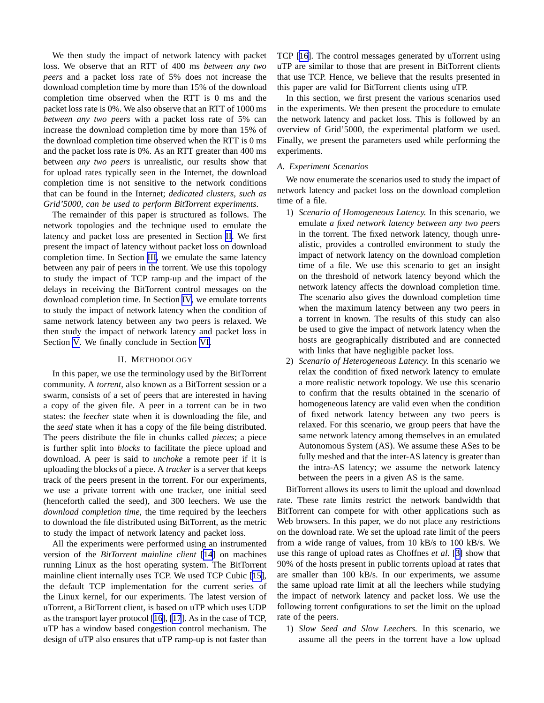We then study the impact of network latency with packet loss. We observe that an RTT of 400 ms *between any two peers* and a packet loss rate of 5% does not increase the download completion time by more than 15% of the download completion time observed when the RTT is 0 ms and the packet loss rate is 0%. We also observe that an RTT of 1000 ms *between any two peers* with a packet loss rate of 5% can increase the download completion time by more than 15% of the download completion time observed when the RTT is 0 ms and the packet loss rate is 0%. As an RTT greater than 400 ms between *any two peers* is unrealistic, our results show that for upload rates typically seen in the Internet, the download completion time is not sensitive to the network conditions that can be found in the Internet; *dedicated clusters, such as Grid'5000, can be used to perform BitTorrent experiments*.

The remainder of this paper is structured as follows. The network topologies and the technique used to emulate the latency and packet loss are presented in Section II. We first present the impact of latency without packet loss on download completion time. In Section [III](#page-5-0), we emulate the same latency between any pair of peers in the torrent. We use this topology to study the impact of TCP ramp-up and the impact of the delays in receiving the BitTorrent control messages on the download completion time. In Section [IV,](#page-7-0) we emulate torrents to study the impact of network latency when the condition of same network latency between any two peers is relaxed. We then study the impact of network latency and packet loss in Section [V.](#page-9-0) We finally conclude in Section [VI.](#page-10-0)

#### II. METHODOLOGY

In this paper, we use the terminology used by the BitTorrent community. A *torrent*, also known as a BitTorrent session or a swarm, consists of a set of peers that are interested in having a copy of the given file. A peer in a torrent can be in two states: the *leecher* state when it is downloading the file, and the *seed* state when it has a copy of the file being distributed. The peers distribute the file in chunks called *pieces*; a piece is further split into *blocks* to facilitate the piece upload and download. A peer is said to *unchoke* a remote peer if it is uploading the blocks of a piece. A *tracker* is a server that keeps track of the peers present in the torrent. For our experiments, we use a private torrent with one tracker, one initial seed (henceforth called the seed), and 300 leechers. We use the *download completion time*, the time required by the leechers to download the file distributed using BitTorrent, as the metric to study the impact of network latency and packet loss.

All the experiments were performed using an instrumented version of the *BitTorrent mainline client* [\[14](#page-10-0)] on machines running Linux as the host operating system. The BitTorrent mainline client internally uses TCP. We used TCP Cubic [\[15](#page-10-0)], the default TCP implementation for the current series of the Linux kernel, for our experiments. The latest version of uTorrent, a BitTorrent client, is based on uTP which uses UDP as the transport layer protocol [[16\]](#page-10-0), [\[17](#page-10-0)]. As in the case of TCP, uTP has a window based congestion control mechanism. The design of uTP also ensures that uTP ramp-up is not faster than

TCP [\[16](#page-10-0)]. The control messages generated by uTorrent using uTP are similar to those that are present in BitTorrent clients that use TCP. Hence, we believe that the results presented in this paper are valid for BitTorrent clients using uTP.

In this section, we first present the various scenarios used in the experiments. We then present the procedure to emulate the network latency and packet loss. This is followed by an overview of Grid'5000, the experimental platform we used. Finally, we present the parameters used while performing the experiments.

#### *A. Experiment Scenarios*

We now enumerate the scenarios used to study the impact of network latency and packet loss on the download completion time of a file.

- 1) *Scenario of Homogeneous Latency.* In this scenario, we emulate *a fixed network latency between any two peers* in the torrent. The fixed network latency, though unrealistic, provides a controlled environment to study the impact of network latency on the download completion time of a file. We use this scenario to get an insight on the threshold of network latency beyond which the network latency affects the download completion time. The scenario also gives the download completion time when the maximum latency between any two peers in a torrent in known. The results of this study can also be used to give the impact of network latency when the hosts are geographically distributed and are connected with links that have negligible packet loss.
- 2) *Scenario of Heterogeneous Latency.* In this scenario we relax the condition of fixed network latency to emulate a more realistic network topology. We use this scenario to confirm that the results obtained in the scenario of homogeneous latency are valid even when the condition of fixed network latency between any two peers is relaxed. For this scenario, we group peers that have the same network latency among themselves in an emulated Autonomous System (AS). We assume these ASes to be fully meshed and that the inter-AS latency is greater than the intra-AS latency; we assume the network latency between the peers in a given AS is the same.

BitTorrent allows its users to limit the upload and download rate. These rate limits restrict the network bandwidth that BitTorrent can compete for with other applications such as Web browsers. In this paper, we do not place any restrictions on the download rate. We set the upload rate limit of the peers from a wide range of values, from 10 kB/s to 100 kB/s. We use this range of upload rates as Choffnes *et al.* [[3\]](#page-10-0) show that 90% of the hosts present in public torrents upload at rates that are smaller than 100 kB/s. In our experiments, we assume the same upload rate limit at all the leechers while studying the impact of network latency and packet loss. We use the following torrent configurations to set the limit on the upload rate of the peers.

1) *Slow Seed and Slow Leechers.* In this scenario, we assume all the peers in the torrent have a low upload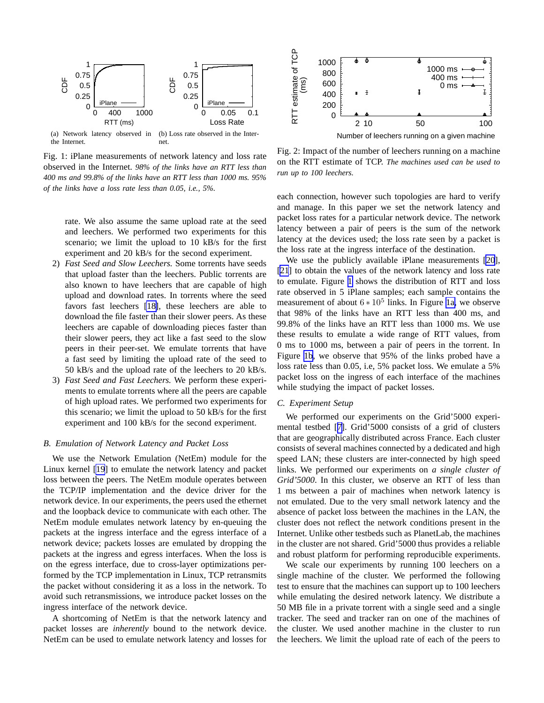<span id="page-3-0"></span>

Fig. 1: iPlane measurements of network latency and loss rate observed in the Internet. *98% of the links have an RTT less than 400 ms and 99.8% of the links have an RTT less than 1000 ms. 95% of the links have a loss rate less than 0.05, i.e., 5%.*

rate. We also assume the same upload rate at the seed and leechers. We performed two experiments for this scenario; we limit the upload to 10 kB/s for the first experiment and 20 kB/s for the second experiment.

- 2) *Fast Seed and Slow Leechers.* Some torrents have seeds that upload faster than the leechers. Public torrents are also known to have leechers that are capable of high upload and download rates. In torrents where the seed favors fast leechers [\[18\]](#page-10-0), these leechers are able to download the file faster than their slower peers. As these leechers are capable of downloading pieces faster than their slower peers, they act like a fast seed to the slow peers in their peer-set. We emulate torrents that have a fast seed by limiting the upload rate of the seed to 50 kB/s and the upload rate of the leechers to 20 kB/s.
- 3) *Fast Seed and Fast Leechers.* We perform these experiments to emulate torrents where all the peers are capable of high upload rates. We performed two experiments for this scenario; we limit the upload to 50 kB/s for the first experiment and 100 kB/s for the second experiment.

#### *B. Emulation of Network Latency and Packet Loss*

We use the Network Emulation (NetEm) module for the Linux kernel [\[19](#page-10-0)] to emulate the network latency and packet loss between the peers. The NetEm module operates between the TCP/IP implementation and the device driver for the network device. In our experiments, the peers used the ethernet and the loopback device to communicate with each other. The NetEm module emulates network latency by en-queuing the packets at the ingress interface and the egress interface of a network device; packets losses are emulated by dropping the packets at the ingress and egress interfaces. When the loss is on the egress interface, due to cross-layer optimizations performed by the TCP implementation in Linux, TCP retransmits the packet without considering it as a loss in the network. To avoid such retransmissions, we introduce packet losses on the ingress interface of the network device.

A shortcoming of NetEm is that the network latency and packet losses are *inherently* bound to the network device. NetEm can be used to emulate network latency and losses for



Fig. 2: Impact of the number of leechers running on a machine on the RTT estimate of TCP. *The machines used can be used to run up to 100 leechers.*

each connection, however such topologies are hard to verify and manage. In this paper we set the network latency and packet loss rates for a particular network device. The network latency between a pair of peers is the sum of the network latency at the devices used; the loss rate seen by a packet is the loss rate at the ingress interface of the destination.

We use the publicly available iPlane measurements [\[20](#page-10-0)], [\[21](#page-10-0)] to obtain the values of the network latency and loss rate to emulate. Figure 1 shows the distribution of RTT and loss rate observed in 5 iPlane samples; each sample contains the measurement of about  $6 * 10^5$  links. In Figure 1a, we observe that 98% of the links have an RTT less than 400 ms, and 99.8% of the links have an RTT less than 1000 ms. We use these results to emulate a wide range of RTT values, from 0 ms to 1000 ms, between a pair of peers in the torrent. In Figure 1b, we observe that 95% of the links probed have a loss rate less than 0.05, i.e, 5% packet loss. We emulate a 5% packet loss on the ingress of each interface of the machines while studying the impact of packet losses.

#### *C. Experiment Setup*

We performed our experiments on the Grid'5000 experimental testbed [[7\]](#page-10-0). Grid'5000 consists of a grid of clusters that are geographically distributed across France. Each cluster consists of several machines connected by a dedicated and high speed LAN; these clusters are inter-connected by high speed links. We performed our experiments on *a single cluster of Grid'5000*. In this cluster, we observe an RTT of less than 1 ms between a pair of machines when network latency is not emulated. Due to the very small network latency and the absence of packet loss between the machines in the LAN, the cluster does not reflect the network conditions present in the Internet. Unlike other testbeds such as PlanetLab, the machines in the cluster are not shared. Grid'5000 thus provides a reliable and robust platform for performing reproducible experiments.

We scale our experiments by running 100 leechers on a single machine of the cluster. We performed the following test to ensure that the machines can support up to 100 leechers while emulating the desired network latency. We distribute a 50 MB file in a private torrent with a single seed and a single tracker. The seed and tracker ran on one of the machines of the cluster. We used another machine in the cluster to run the leechers. We limit the upload rate of each of the peers to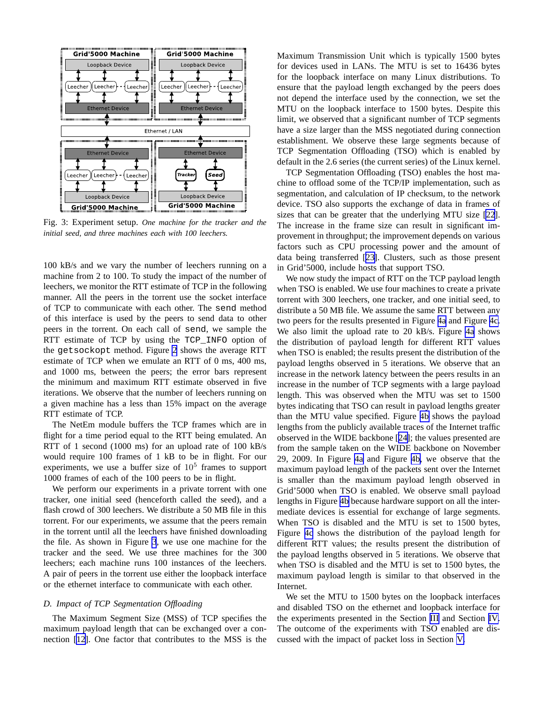

Fig. 3: Experiment setup. *One machine for the tracker and the initial seed, and three machines each with 100 leechers.*

100 kB/s and we vary the number of leechers running on a machine from 2 to 100. To study the impact of the number of leechers, we monitor the RTT estimate of TCP in the following manner. All the peers in the torrent use the socket interface of TCP to communicate with each other. The send method of this interface is used by the peers to send data to other peers in the torrent. On each call of send, we sample the RTT estimate of TCP by using the TCP\_INFO option of the getsockopt method. Figure [2](#page-3-0) shows the average RTT estimate of TCP when we emulate an RTT of 0 ms, 400 ms, and 1000 ms, between the peers; the error bars represent the minimum and maximum RTT estimate observed in five iterations. We observe that the number of leechers running on a given machine has a less than 15% impact on the average RTT estimate of TCP.

The NetEm module buffers the TCP frames which are in flight for a time period equal to the RTT being emulated. An RTT of 1 second (1000 ms) for an upload rate of 100 kB/s would require 100 frames of 1 kB to be in flight. For our experiments, we use a buffer size of  $10^5$  frames to support 1000 frames of each of the 100 peers to be in flight.

We perform our experiments in a private torrent with one tracker, one initial seed (henceforth called the seed), and a flash crowd of 300 leechers. We distribute a 50 MB file in this torrent. For our experiments, we assume that the peers remain in the torrent until all the leechers have finished downloading the file. As shown in Figure 3, we use one machine for the tracker and the seed. We use three machines for the 300 leechers; each machine runs 100 instances of the leechers. A pair of peers in the torrent use either the loopback interface or the ethernet interface to communicate with each other.

#### *D. Impact of TCP Segmentation Offloading*

The Maximum Segment Size (MSS) of TCP specifies the maximum payload length that can be exchanged over a connection [\[12](#page-10-0)]. One factor that contributes to the MSS is the

Maximum Transmission Unit which is typically 1500 bytes for devices used in LANs. The MTU is set to 16436 bytes for the loopback interface on many Linux distributions. To ensure that the payload length exchanged by the peers does not depend the interface used by the connection, we set the MTU on the loopback interface to 1500 bytes. Despite this limit, we observed that a significant number of TCP segments have a size larger than the MSS negotiated during connection establishment. We observe these large segments because of TCP Segmentation Offloading (TSO) which is enabled by default in the 2.6 series (the current series) of the Linux kernel.

TCP Segmentation Offloading (TSO) enables the host machine to offload some of the TCP/IP implementation, such as segmentation, and calculation of IP checksum, to the network device. TSO also supports the exchange of data in frames of sizes that can be greater that the underlying MTU size [\[22](#page-10-0)]. The increase in the frame size can result in significant improvement in throughput; the improvement depends on various factors such as CPU processing power and the amount of data being transferred [[23\]](#page-10-0). Clusters, such as those present in Grid'5000, include hosts that support TSO.

We now study the impact of RTT on the TCP payload length when TSO is enabled. We use four machines to create a private torrent with 300 leechers, one tracker, and one initial seed, to distribute a 50 MB file. We assume the same RTT between any two peers for the results presented in Figure [4a](#page-5-0) and Figure [4c.](#page-5-0) We also limit the upload rate to 20 kB/s. Figure [4a](#page-5-0) shows the distribution of payload length for different RTT values when TSO is enabled; the results present the distribution of the payload lengths observed in 5 iterations. We observe that an increase in the network latency between the peers results in an increase in the number of TCP segments with a large payload length. This was observed when the MTU was set to 1500 bytes indicating that TSO can result in payload lengths greater than the MTU value specified. Figure [4b](#page-5-0) shows the payload lengths from the publicly available traces of the Internet traffic observed in the WIDE backbone [[24\]](#page-10-0); the values presented are from the sample taken on the WIDE backbone on November 29, 2009. In Figure [4a](#page-5-0) and Figure [4b,](#page-5-0) we observe that the maximum payload length of the packets sent over the Internet is smaller than the maximum payload length observed in Grid'5000 when TSO is enabled. We observe small payload lengths in Figure [4b](#page-5-0) because hardware support on all the intermediate devices is essential for exchange of large segments. When TSO is disabled and the MTU is set to 1500 bytes, Figure [4c](#page-5-0) shows the distribution of the payload length for different RTT values; the results present the distribution of the payload lengths observed in 5 iterations. We observe that when TSO is disabled and the MTU is set to 1500 bytes, the maximum payload length is similar to that observed in the Internet.

We set the MTU to 1500 bytes on the loopback interfaces and disabled TSO on the ethernet and loopback interface for the experiments presented in the Section [III](#page-5-0) and Section [IV.](#page-7-0) The outcome of the experiments with TSO enabled are discussed with the impact of packet loss in Section [V.](#page-9-0)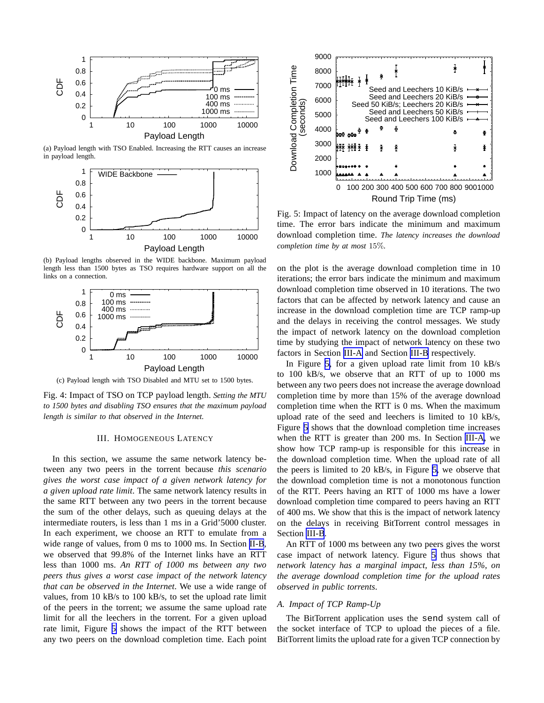<span id="page-5-0"></span>

(a) Payload length with TSO Enabled. Increasing the RTT causes an increase in payload length.



(b) Payload lengths observed in the WIDE backbone. Maximum payload length less than 1500 bytes as TSO requires hardware support on all the links on a connection.



(c) Payload length with TSO Disabled and MTU set to 1500 bytes.

Fig. 4: Impact of TSO on TCP payload length. *Setting the MTU to 1500 bytes and disabling TSO ensures that the maximum payload length is similar to that observed in the Internet.*

#### III. HOMOGENEOUS LATENCY

In this section, we assume the same network latency between any two peers in the torrent because *this scenario gives the worst case impact of a given network latency for a given upload rate limit*. The same network latency results in the same RTT between any two peers in the torrent because the sum of the other delays, such as queuing delays at the intermediate routers, is less than 1 ms in a Grid'5000 cluster. In each experiment, we choose an RTT to emulate from a wide range of values, from 0 ms to 1000 ms. In Section [II-B](#page-3-0), we observed that 99.8% of the Internet links have an RTT less than 1000 ms. *An RTT of 1000 ms between any two peers thus gives a worst case impact of the network latency that can be observed in the Internet*. We use a wide range of values, from 10 kB/s to 100 kB/s, to set the upload rate limit of the peers in the torrent; we assume the same upload rate limit for all the leechers in the torrent. For a given upload rate limit, Figure 5 shows the impact of the RTT between any two peers on the download completion time. Each point



Fig. 5: Impact of latency on the average download completion time. The error bars indicate the minimum and maximum download completion time. *The latency increases the download completion time by at most* 15%*.*

on the plot is the average download completion time in 10 iterations; the error bars indicate the minimum and maximum download completion time observed in 10 iterations. The two factors that can be affected by network latency and cause an increase in the download completion time are TCP ramp-up and the delays in receiving the control messages. We study the impact of network latency on the download completion time by studying the impact of network latency on these two factors in Section III-A and Section [III-B](#page-6-0) respectively.

In Figure 5, for a given upload rate limit from 10 kB/s to 100 kB/s, we observe that an RTT of up to 1000 ms between any two peers does not increase the average download completion time by more than 15% of the average download completion time when the RTT is 0 ms. When the maximum upload rate of the seed and leechers is limited to 10 kB/s, Figure 5 shows that the download completion time increases when the RTT is greater than 200 ms. In Section III-A, we show how TCP ramp-up is responsible for this increase in the download completion time. When the upload rate of all the peers is limited to 20 kB/s, in Figure 5, we observe that the download completion time is not a monotonous function of the RTT. Peers having an RTT of 1000 ms have a lower download completion time compared to peers having an RTT of 400 ms. We show that this is the impact of network latency on the delays in receiving BitTorrent control messages in Section [III-B](#page-6-0).

An RTT of 1000 ms between any two peers gives the worst case impact of network latency. Figure 5 thus shows that *network latency has a marginal impact, less than 15%, on the average download completion time for the upload rates observed in public torrents*.

#### *A. Impact of TCP Ramp-Up*

The BitTorrent application uses the send system call of the socket interface of TCP to upload the pieces of a file. BitTorrent limits the upload rate for a given TCP connection by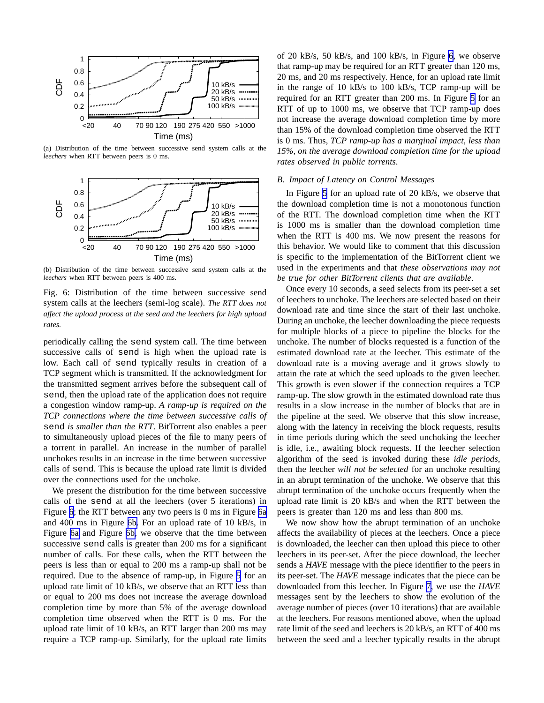<span id="page-6-0"></span>

(a) Distribution of the time between successive send system calls at the *leechers* when RTT between peers is 0 ms.



(b) Distribution of the time between successive send system calls at the *leechers* when RTT between peers is 400 ms.

Fig. 6: Distribution of the time between successive send system calls at the leechers (semi-log scale). *The RTT does not affect the upload process at the seed and the leechers for high upload rates.*

periodically calling the send system call. The time between successive calls of send is high when the upload rate is low. Each call of send typically results in creation of a TCP segment which is transmitted. If the acknowledgment for the transmitted segment arrives before the subsequent call of send, then the upload rate of the application does not require a congestion window ramp-up. *A ramp-up is required on the TCP connections where the time between successive calls of* send *is smaller than the RTT*. BitTorrent also enables a peer to simultaneously upload pieces of the file to many peers of a torrent in parallel. An increase in the number of parallel unchokes results in an increase in the time between successive calls of send. This is because the upload rate limit is divided over the connections used for the unchoke.

We present the distribution for the time between successive calls of the send at all the leechers (over 5 iterations) in Figure 6; the RTT between any two peers is 0 ms in Figure 6a and 400 ms in Figure 6b. For an upload rate of 10 kB/s, in Figure 6a and Figure 6b, we observe that the time between successive send calls is greater than 200 ms for a significant number of calls. For these calls, when the RTT between the peers is less than or equal to 200 ms a ramp-up shall not be required. Due to the absence of ramp-up, in Figure [5](#page-5-0) for an upload rate limit of 10 kB/s, we observe that an RTT less than or equal to 200 ms does not increase the average download completion time by more than 5% of the average download completion time observed when the RTT is 0 ms. For the upload rate limit of 10 kB/s, an RTT larger than 200 ms may require a TCP ramp-up. Similarly, for the upload rate limits

of 20 kB/s, 50 kB/s, and 100 kB/s, in Figure 6, we observe that ramp-up may be required for an RTT greater than 120 ms, 20 ms, and 20 ms respectively. Hence, for an upload rate limit in the range of 10 kB/s to 100 kB/s, TCP ramp-up will be required for an RTT greater than 200 ms. In Figure [5](#page-5-0) for an RTT of up to 1000 ms, we observe that TCP ramp-up does not increase the average download completion time by more than 15% of the download completion time observed the RTT is 0 ms. Thus, *TCP ramp-up has a marginal impact, less than 15%, on the average download completion time for the upload rates observed in public torrents*.

#### *B. Impact of Latency on Control Messages*

In Figure [5](#page-5-0) for an upload rate of 20 kB/s, we observe that the download completion time is not a monotonous function of the RTT. The download completion time when the RTT is 1000 ms is smaller than the download completion time when the RTT is 400 ms. We now present the reasons for this behavior. We would like to comment that this discussion is specific to the implementation of the BitTorrent client we used in the experiments and that *these observations may not be true for other BitTorrent clients that are available*.

Once every 10 seconds, a seed selects from its peer-set a set of leechers to unchoke. The leechers are selected based on their download rate and time since the start of their last unchoke. During an unchoke, the leecher downloading the piece requests for multiple blocks of a piece to pipeline the blocks for the unchoke. The number of blocks requested is a function of the estimated download rate at the leecher. This estimate of the download rate is a moving average and it grows slowly to attain the rate at which the seed uploads to the given leecher. This growth is even slower if the connection requires a TCP ramp-up. The slow growth in the estimated download rate thus results in a slow increase in the number of blocks that are in the pipeline at the seed. We observe that this slow increase, along with the latency in receiving the block requests, results in time periods during which the seed unchoking the leecher is idle, i.e., awaiting block requests. If the leecher selection algorithm of the seed is invoked during these *idle periods*, then the leecher *will not be selected* for an unchoke resulting in an abrupt termination of the unchoke. We observe that this abrupt termination of the unchoke occurs frequently when the upload rate limit is 20 kB/s and when the RTT between the peers is greater than 120 ms and less than 800 ms.

We now show how the abrupt termination of an unchoke affects the availability of pieces at the leechers. Once a piece is downloaded, the leecher can then upload this piece to other leechers in its peer-set. After the piece download, the leecher sends a *HAVE* message with the piece identifier to the peers in its peer-set. The *HAVE* message indicates that the piece can be downloaded from this leecher. In Figure [7](#page-7-0), we use the *HAVE* messages sent by the leechers to show the evolution of the average number of pieces (over 10 iterations) that are available at the leechers. For reasons mentioned above, when the upload rate limit of the seed and leechers is 20 kB/s, an RTT of 400 ms between the seed and a leecher typically results in the abrupt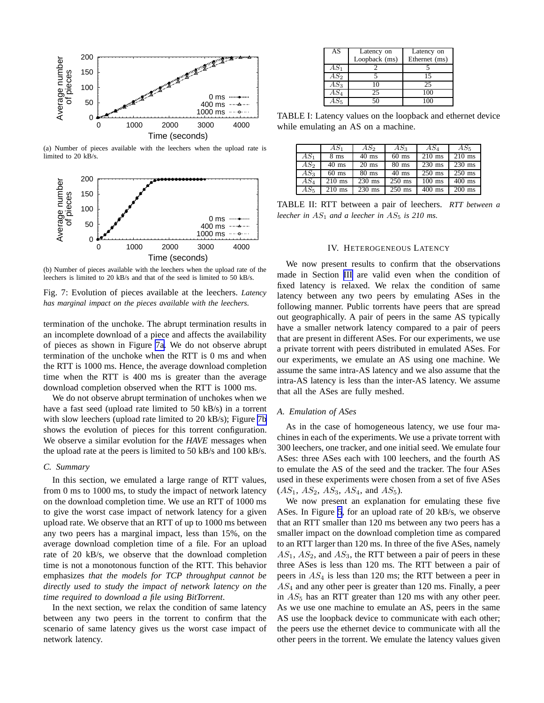<span id="page-7-0"></span>

(a) Number of pieces available with the leechers when the upload rate is limited to 20 kB/s.



(b) Number of pieces available with the leechers when the upload rate of the leechers is limited to 20 kB/s and that of the seed is limited to 50 kB/s.

Fig. 7: Evolution of pieces available at the leechers. *Latency has marginal impact on the pieces available with the leechers.*

termination of the unchoke. The abrupt termination results in an incomplete download of a piece and affects the availability of pieces as shown in Figure 7a. We do not observe abrupt termination of the unchoke when the RTT is 0 ms and when the RTT is 1000 ms. Hence, the average download completion time when the RTT is 400 ms is greater than the average download completion observed when the RTT is 1000 ms.

We do not observe abrupt termination of unchokes when we have a fast seed (upload rate limited to 50 kB/s) in a torrent with slow leechers (upload rate limited to 20 kB/s); Figure 7b shows the evolution of pieces for this torrent configuration. We observe a similar evolution for the *HAVE* messages when the upload rate at the peers is limited to 50 kB/s and 100 kB/s.

#### *C. Summary*

In this section, we emulated a large range of RTT values, from 0 ms to 1000 ms, to study the impact of network latency on the download completion time. We use an RTT of 1000 ms to give the worst case impact of network latency for a given upload rate. We observe that an RTT of up to 1000 ms between any two peers has a marginal impact, less than 15%, on the average download completion time of a file. For an upload rate of 20 kB/s, we observe that the download completion time is not a monotonous function of the RTT. This behavior emphasizes *that the models for TCP throughput cannot be directly used to study the impact of network latency on the time required to download a file using BitTorrent*.

In the next section, we relax the condition of same latency between any two peers in the torrent to confirm that the scenario of same latency gives us the worst case impact of network latency.

| AS              | Latency on    | Latency on    |
|-----------------|---------------|---------------|
|                 | Loopback (ms) | Ethernet (ms) |
| $AS_1$          |               |               |
| AS <sub>2</sub> |               | 15            |
| $AS_3$          | 10            | 25            |
| $AS_4$          | 25            | 100           |
| $AS_5$          |               |               |

TABLE I: Latency values on the loopback and ethernet device while emulating an AS on a machine.

|                   | $AS_1$          | AS <sub>2</sub> | AS <sub>3</sub> | $AS_4$           | $AS_5$   |
|-------------------|-----------------|-----------------|-----------------|------------------|----------|
| $AS_1$            | 8 <sub>ms</sub> | $40 \text{ ms}$ | $60$ ms         | $210$ ms         | $210$ ms |
| $AS_2$            | $40 \text{ ms}$ | $20 \text{ ms}$ | $80$ ms         | $230 \text{ ms}$ | $230$ ms |
| $AS_3$            | $60$ ms         | $80$ ms         | $40$ ms         | $250$ ms         | $250$ ms |
| $\overline{A}S_4$ | $210$ ms        | 230 ms          | $250$ ms        | $100$ ms         | $400$ ms |
| $AS_5$            | $210$ ms        | $230$ ms        | $250$ ms        | $400$ ms         | $200$ ms |

TABLE II: RTT between a pair of leechers. *RTT between a leecher in*  $AS_1$  *and a leecher in*  $AS_5$  *is 210 ms.* 

#### IV. HETEROGENEOUS LATENCY

We now present results to confirm that the observations made in Section [III](#page-5-0) are valid even when the condition of fixed latency is relaxed. We relax the condition of same latency between any two peers by emulating ASes in the following manner. Public torrents have peers that are spread out geographically. A pair of peers in the same AS typically have a smaller network latency compared to a pair of peers that are present in different ASes. For our experiments, we use a private torrent with peers distributed in emulated ASes. For our experiments, we emulate an AS using one machine. We assume the same intra-AS latency and we also assume that the intra-AS latency is less than the inter-AS latency. We assume that all the ASes are fully meshed.

#### *A. Emulation of ASes*

As in the case of homogeneous latency, we use four machines in each of the experiments. We use a private torrent with 300 leechers, one tracker, and one initial seed. We emulate four ASes: three ASes each with 100 leechers, and the fourth AS to emulate the AS of the seed and the tracker. The four ASes used in these experiments were chosen from a set of five ASes  $(AS_1, AS_2, AS_3, AS_4, and AS_5).$ 

We now present an explanation for emulating these five ASes. In Figure [5](#page-5-0), for an upload rate of 20 kB/s, we observe that an RTT smaller than 120 ms between any two peers has a smaller impact on the download completion time as compared to an RTT larger than 120 ms. In three of the five ASes, namely  $AS_1$ ,  $AS_2$ , and  $AS_3$ , the RTT between a pair of peers in these three ASes is less than 120 ms. The RTT between a pair of peers in  $AS<sub>4</sub>$  is less than 120 ms; the RTT between a peer in  $AS<sub>4</sub>$  and any other peer is greater than 120 ms. Finally, a peer in  $AS_5$  has an RTT greater than 120 ms with any other peer. As we use one machine to emulate an AS, peers in the same AS use the loopback device to communicate with each other; the peers use the ethernet device to communicate with all the other peers in the torrent. We emulate the latency values given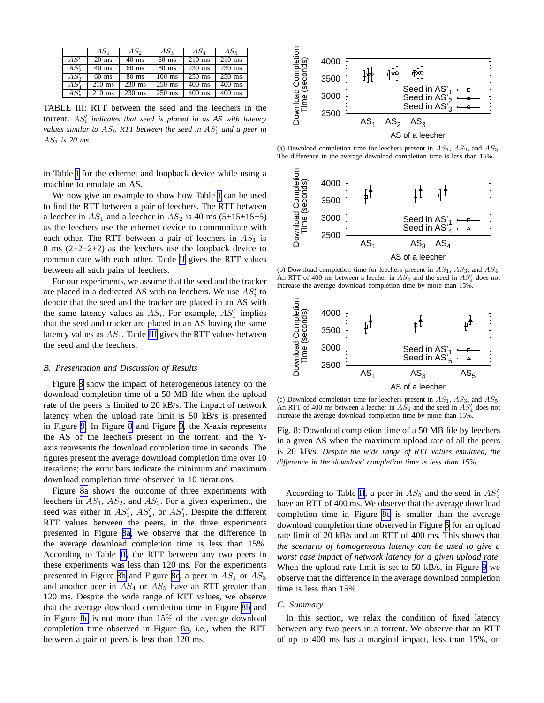|                      | $AS_1$   | $AS_2$   | $AS_3$   | $AS_4$   | $AS_5$   |
|----------------------|----------|----------|----------|----------|----------|
| AS'.                 | $20$ ms  | $40$ ms  | $60$ ms  | $210$ ms | $210$ ms |
| $AS'_2$              | $40$ ms  | $60$ ms  | $80$ ms  | $230$ ms | $230$ ms |
| $AS'_2$              | $60$ ms  | $80$ ms  | $100$ ms | $250$ ms | $250$ ms |
| $\overline{A}S_{4}'$ | $210$ ms | $230$ ms | $250$ ms | $400$ ms | $400$ ms |
| $\overline{AS'_5}$   | $210$ ms | $230$ ms | $250$ ms | $400$ ms | $400$ ms |

TABLE III: RTT between the seed and the leechers in the torrent. AS′ i *indicates that seed is placed in as AS with latency values similar to* ASi*. RTT between the seed in* AS′ <sup>1</sup> *and a peer in* AS<sup>1</sup> *is 20 ms.*

in Table [I](#page-7-0) for the ethernet and loopback device while using a machine to emulate an AS.

We now give an example to show how Table [I](#page-7-0) can be used to find the RTT between a pair of leechers. The RTT between a leecher in  $AS_1$  and a leecher in  $AS_2$  is 40 ms (5+15+15+5) as the leechers use the ethernet device to communicate with each other. The RTT between a pair of leechers in  $AS_1$  is 8 ms  $(2+2+2+2)$  as the leechers use the loopback device to communicate with each other. Table [II](#page-7-0) gives the RTT values between all such pairs of leechers.

For our experiments, we assume that the seed and the tracker are placed in a dedicated AS with no leechers. We use  $AS_i'$  to denote that the seed and the tracker are placed in an AS with the same latency values as  $AS_i$ . For example,  $AS'_1$  implies that the seed and tracker are placed in an AS having the same latency values as  $AS_1$ . Table III gives the RTT values between the seed and the leechers.

#### *B. Presentation and Discussion of Results*

Figure 8 show the impact of heterogeneous latency on the download completion time of a 50 MB file when the upload rate of the peers is limited to 20 kB/s. The impact of network latency when the upload rate limit is 50 kB/s is presented in Figure [9.](#page-9-0) In Figure 8 and Figure [9,](#page-9-0) the X-axis represents the AS of the leechers present in the torrent, and the Yaxis represents the download completion time in seconds. The figures present the average download completion time over 10 iterations; the error bars indicate the minimum and maximum download completion time observed in 10 iterations.

Figure 8a shows the outcome of three experiments with leechers in  $AS_1$ ,  $AS_2$ , and  $AS_3$ . For a given experiment, the seed was either in  $AS'_1$ ,  $AS'_2$ , or  $AS'_3$ . Despite the different RTT values between the peers, in the three experiments presented in Figure 8a, we observe that the difference in the average download completion time is less than 15%. According to Table [II,](#page-7-0) the RTT between any two peers in these experiments was less than 120 ms. For the experiments presented in Figure 8b and Figure 8c, a peer in  $AS_1$  or  $AS_3$ and another peer in  $AS_4$  or  $AS_5$  have an RTT greater than 120 ms. Despite the wide range of RTT values, we observe that the average download completion time in Figure 8b and in Figure 8c is not more than 15% of the average download completion time observed in Figure 8a, i.e., when the RTT between a pair of peers is less than 120 ms.



(a) Download completion time for leechers present in  $AS_1$ ,  $AS_2$ , and  $AS_3$ . The difference in the average download completion time is less than 15%.



(b) Download completion time for leechers present in  $AS_1$ ,  $AS_3$ , and  $AS_4$ . An RTT of 400 ms between a leecher in  $\hat{AS_4}$  and the seed in  $\hat{AS'_4}$  does not increase the average download completion time by more than 15%.



(c) Download completion time for leechers present in  $AS_1$ ,  $AS_3$ , and  $AS_5$ . An RTT of 400 ms between a leecher in  $\hat{AS_4}$  and the seed in  $\hat{AS'_4}$  does not increase the average download completion time by more than 15%.

Fig. 8: Download completion time of a 50 MB file by leechers in a given AS when the maximum upload rate of all the peers is 20 kB/s. *Despite the wide range of RTT values emulated, the difference in the download completion time is less than 15%.*

According to Table [II](#page-7-0), a peer in  $AS_5$  and the seed in  $AS_5'$ have an RTT of 400 ms. We observe that the average download completion time in Figure 8c is smaller than the average download completion time observed in Figure [5](#page-5-0) for an upload rate limit of 20 kB/s and an RTT of 400 ms. This shows that *the scenario of homogeneous latency can be used to give a worst case impact of network latency for a given upload rate*. When the upload rate limit is set to 50 kB/s, in Figure [9](#page-9-0) we observe that the difference in the average download completion time is less than 15%.

#### *C. Summary*

In this section, we relax the condition of fixed latency between any two peers in a torrent. We observe that an RTT of up to 400 ms has a marginal impact, less than 15%, on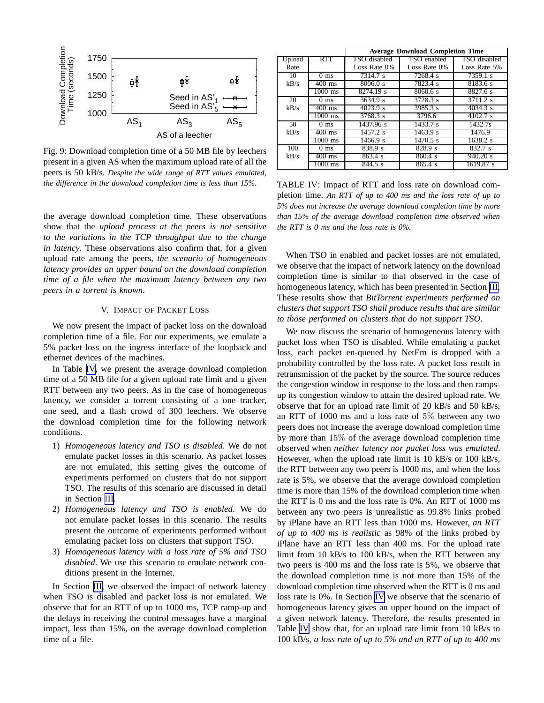<span id="page-9-0"></span>

Fig. 9: Download completion time of a 50 MB file by leechers present in a given AS when the maximum upload rate of all the peers is 50 kB/s. *Despite the wide range of RTT values emulated, the difference in the download completion time is less than 15%.*

the average download completion time. These observations show that the *upload process at the peers is not sensitive to the variations in the TCP throughput due to the change in latency*. These observations also confirm that, for a given upload rate among the peers, *the scenario of homogeneous latency provides an upper bound on the download completion time of a file when the maximum latency between any two peers in a torrent is known*.

#### V. IMPACT OF PACKET LOSS

We now present the impact of packet loss on the download completion time of a file. For our experiments, we emulate a 5% packet loss on the ingress interface of the loopback and ethernet devices of the machines.

In Table IV, we present the average download completion time of a 50 MB file for a given upload rate limit and a given RTT between any two peers. As in the case of homogeneous latency, we consider a torrent consisting of a one tracker, one seed, and a flash crowd of 300 leechers. We observe the download completion time for the following network conditions.

- 1) *Homogeneous latency and TSO is disabled*. We do not emulate packet losses in this scenario. As packet losses are not emulated, this setting gives the outcome of experiments performed on clusters that do not support TSO. The results of this scenario are discussed in detail in Section [III.](#page-5-0)
- 2) *Homogeneous latency and TSO is enabled*. We do not emulate packet losses in this scenario. The results present the outcome of experiments performed without emulating packet loss on clusters that support TSO.
- 3) *Homogeneous latency with a loss rate of 5% and TSO disabled*. We use this scenario to emulate network conditions present in the Internet.

In Section [III,](#page-5-0) we observed the impact of network latency when TSO is disabled and packet loss is not emulated. We observe that for an RTT of up to 1000 ms, TCP ramp-up and the delays in receiving the control messages have a marginal impact, less than 15%, on the average download completion time of a file.

|        |                     | <b>Average Download Completion Time</b> |              |                    |  |
|--------|---------------------|-----------------------------------------|--------------|--------------------|--|
| Upload | <b>RTT</b>          | TSO disabled                            | TSO enabled  | TSO disabled       |  |
| Rate   |                     | Loss Rate 0%                            | Loss Rate 0% | Loss Rate 5%       |  |
| 10     | 0 <sub>ms</sub>     | 7314.7 s                                | 7268.4 s     | 7359.1 s           |  |
| kB/s   | $400$ ms            | 8006.0 s                                | 7823.4 s     | 8183.6 s           |  |
|        | $1000$ ms           | 8274.19 s                               | 8060.6 s     | 8827.6 s           |  |
| 20     | 0 <sub>ms</sub>     | 3634.9 s                                | 3728.3 s     | 3711.2 s           |  |
| kB/s   | $\overline{400}$ ms | 4023.9 s                                | 3985.3 s     | $4034.3 \text{ s}$ |  |
|        | $1000$ ms           | 3768.3 s                                | 3796.6       | $4102.7$ s         |  |
| 50     | 0 <sub>ms</sub>     | 1437.96 s                               | 1433.7 s     | 1432.7s            |  |
| kB/s   | $\overline{400}$ ms | $1457.2$ s                              | 1463.9 s     | 1476.9             |  |
|        | $1000$ ms           | 1466.9 s                                | $1470.5$ s   | 1638.2 s           |  |
| 100    | 0 <sub>ms</sub>     | 838.9 s                                 | 828.9 s      | 832.7 s            |  |
| kB/s   | $\overline{400}$ ms | 863.4 s                                 | 860.4 s      | 940.20 s           |  |
|        | $1000$ ms           | 844.5 s                                 | 865.4 s      | 1619.87 s          |  |

TABLE IV: Impact of RTT and loss rate on download completion time. *An RTT of up to 400 ms and the loss rate of up to 5% does not increase the average download completion time by more than 15% of the average download completion time observed when the RTT is 0 ms and the loss rate is 0%.*

When TSO in enabled and packet losses are not emulated, we observe that the impact of network latency on the download completion time is similar to that observed in the case of homogeneous latency, which has been presented in Section [III.](#page-5-0) These results show that *BitTorrent experiments performed on clusters that support TSO shall produce results that are similar to those performed on clusters that do not support TSO*.

We now discuss the scenario of homogeneous latency with packet loss when TSO is disabled. While emulating a packet loss, each packet en-queued by NetEm is dropped with a probability controlled by the loss rate. A packet loss result in retransmission of the packet by the source. The source reduces the congestion window in response to the loss and then rampsup its congestion window to attain the desired upload rate. We observe that for an upload rate limit of 20 kB/s and 50 kB/s, an RTT of 1000 ms and a loss rate of 5% between any two peers does not increase the average download completion time by more than 15% of the average download completion time observed when *neither latency nor packet loss was emulated*. However, when the upload rate limit is 10 kB/s or 100 kB/s, the RTT between any two peers is 1000 ms, and when the loss rate is 5%, we observe that the average download completion time is more than 15% of the download completion time when the RTT is 0 ms and the loss rate is 0%. An RTT of 1000 ms between any two peers is unrealistic as 99.8% links probed by iPlane have an RTT less than 1000 ms. However, *an RTT of up to 400 ms is realistic* as 98% of the links probed by iPlane have an RTT less than 400 ms. For the upload rate limit from 10 kB/s to 100 kB/s, when the RTT between any two peers is 400 ms and the loss rate is 5%, we observe that the download completion time is not more than 15% of the download completion time observed when the RTT is 0 ms and loss rate is 0%. In Section [IV](#page-7-0) we observe that the scenario of homogeneous latency gives an upper bound on the impact of a given network latency. Therefore, the results presented in Table IV show that, for an upload rate limit from 10 kB/s to 100 kB/s, *a loss rate of up to 5% and an RTT of up to 400 ms*